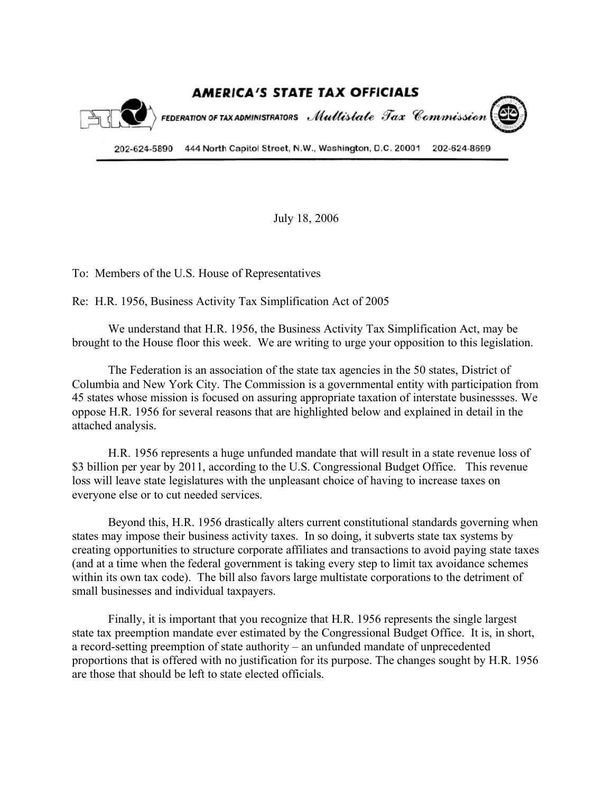

July 18, 2006

To: Members of the U.S. House of Representatives

Re: H.R. 1956, Business Activity Tax Simplification Act of 2005

We understand that H.R. 1956, the Business Activity Tax Simplification Act, may be brought to the House floor this week. We are writing to urge your opposition to this legislation.

The Federation is an association of the state tax agencies in the 50 states, District of Columbia and New York City. The Commission is a governmental entity with participation from 45 states whose mission is focused on assuring appropriate taxation of interstate businessses. We oppose H.R. 1956 for several reasons that are highlighted below and explained in detail in the attached analysis.

H.R. 1956 represents a huge unfunded mandate that will result in a state revenue loss of \$3 billion per year by 2011, according to the U.S. Congressional Budget Office. This revenue loss will leave state legislatures with the unpleasant choice of having to increase taxes on everyone else or to cut needed services.

Beyond this, H.R. 1956 drastically alters current constitutional standards governing when states may impose their business activity taxes. In so doing, it subverts state tax systems by creating opportunities to structure corporate affiliates and transactions to avoid paying state taxes (and at a time when the federal government is taking every step to limit tax avoidance schemes within its own tax code). The bill also favors large multistate corporations to the detriment of small businesses and individual taxpayers.

Finally, it is important that you recognize that H.R. 1956 represents the single largest state tax preemption mandate ever estimated by the Congressional Budget Office. It is, in short, a record-setting preemption of state authority – an unfunded mandate of unprecedented proportions that is offered with no justification for its purpose. The changes sought by H.R. 1956 are those that should be left to state elected officials.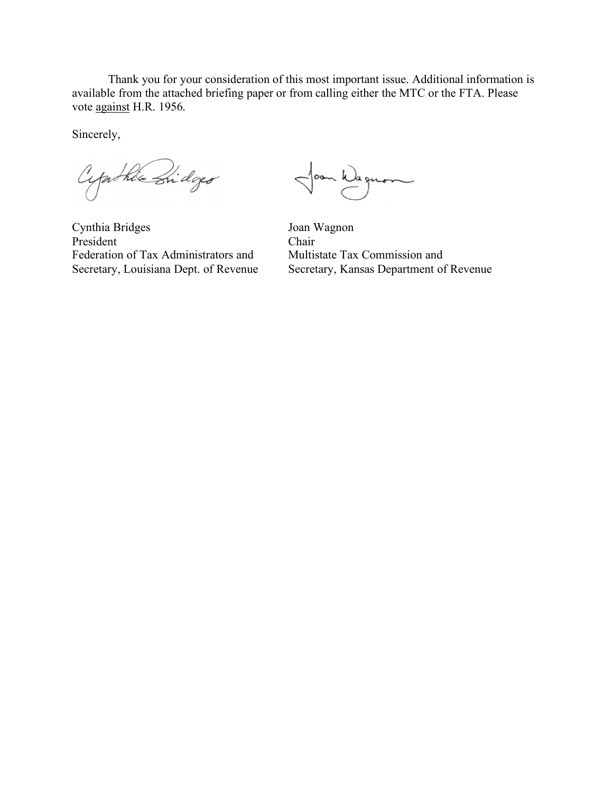Thank you for your consideration of this most important issue. Additional information is available from the attached briefing paper or from calling either the MTC or the FTA. Please vote against H.R. 1956.

Sincerely,

Cypithia Bidges

~ Wagnon

Cynthia Bridges Joan Wagnon President Chair Federation of Tax Administrators and Multistate Tax Commission and

Secretary, Louisiana Dept. of Revenue Secretary, Kansas Department of Revenue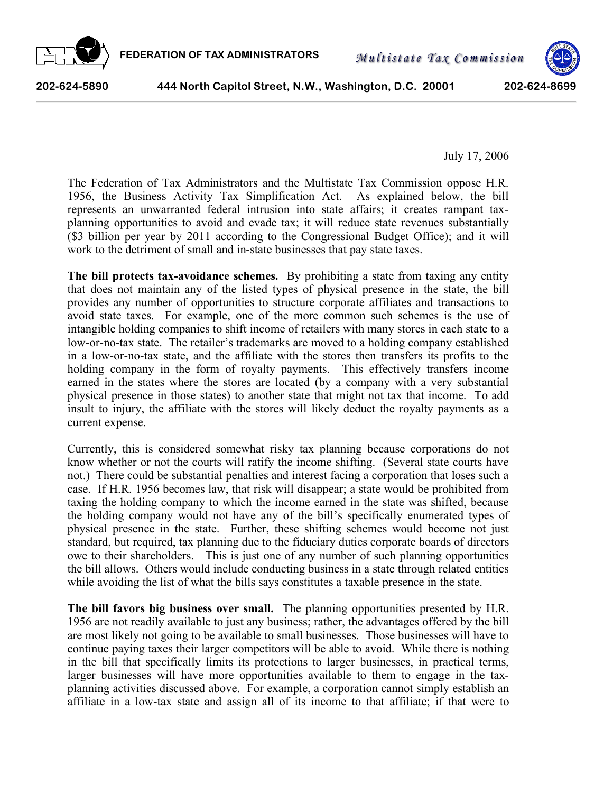



**202-624-5890 444 North Capitol Street, N.W., Washington, D.C. 20001 202-624-8699**

July 17, 2006

The Federation of Tax Administrators and the Multistate Tax Commission oppose H.R. 1956, the Business Activity Tax Simplification Act. As explained below, the bill represents an unwarranted federal intrusion into state affairs; it creates rampant taxplanning opportunities to avoid and evade tax; it will reduce state revenues substantially (\$3 billion per year by 2011 according to the Congressional Budget Office); and it will work to the detriment of small and in-state businesses that pay state taxes.

**The bill protects tax-avoidance schemes.** By prohibiting a state from taxing any entity that does not maintain any of the listed types of physical presence in the state, the bill provides any number of opportunities to structure corporate affiliates and transactions to avoid state taxes. For example, one of the more common such schemes is the use of intangible holding companies to shift income of retailers with many stores in each state to a low-or-no-tax state. The retailer's trademarks are moved to a holding company established in a low-or-no-tax state, and the affiliate with the stores then transfers its profits to the holding company in the form of royalty payments. This effectively transfers income earned in the states where the stores are located (by a company with a very substantial physical presence in those states) to another state that might not tax that income. To add insult to injury, the affiliate with the stores will likely deduct the royalty payments as a current expense.

Currently, this is considered somewhat risky tax planning because corporations do not know whether or not the courts will ratify the income shifting. (Several state courts have not.) There could be substantial penalties and interest facing a corporation that loses such a case. If H.R. 1956 becomes law, that risk will disappear; a state would be prohibited from taxing the holding company to which the income earned in the state was shifted, because the holding company would not have any of the bill's specifically enumerated types of physical presence in the state. Further, these shifting schemes would become not just standard, but required, tax planning due to the fiduciary duties corporate boards of directors owe to their shareholders. This is just one of any number of such planning opportunities the bill allows. Others would include conducting business in a state through related entities while avoiding the list of what the bills says constitutes a taxable presence in the state.

**The bill favors big business over small.** The planning opportunities presented by H.R. 1956 are not readily available to just any business; rather, the advantages offered by the bill are most likely not going to be available to small businesses. Those businesses will have to continue paying taxes their larger competitors will be able to avoid. While there is nothing in the bill that specifically limits its protections to larger businesses, in practical terms, larger businesses will have more opportunities available to them to engage in the taxplanning activities discussed above. For example, a corporation cannot simply establish an affiliate in a low-tax state and assign all of its income to that affiliate; if that were to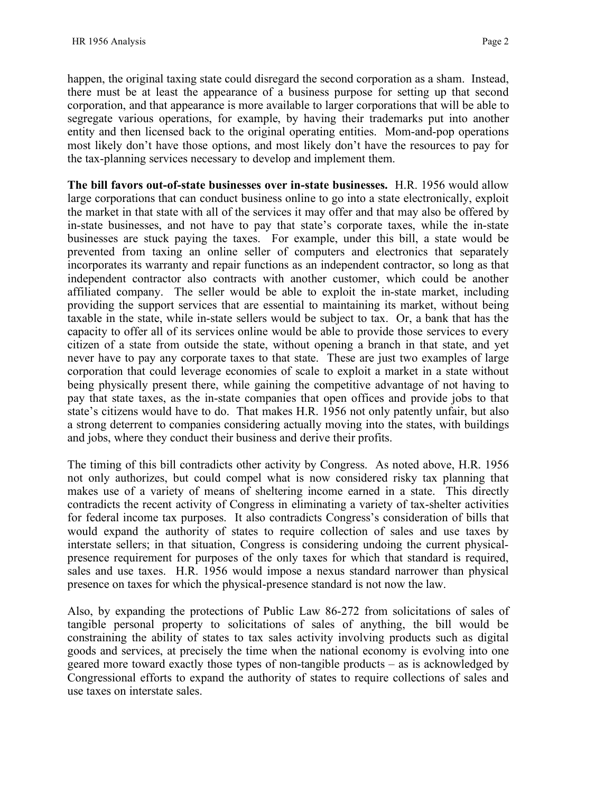happen, the original taxing state could disregard the second corporation as a sham. Instead, there must be at least the appearance of a business purpose for setting up that second corporation, and that appearance is more available to larger corporations that will be able to segregate various operations, for example, by having their trademarks put into another entity and then licensed back to the original operating entities. Mom-and-pop operations most likely don't have those options, and most likely don't have the resources to pay for the tax-planning services necessary to develop and implement them.

**The bill favors out-of-state businesses over in-state businesses.** H.R. 1956 would allow large corporations that can conduct business online to go into a state electronically, exploit the market in that state with all of the services it may offer and that may also be offered by in-state businesses, and not have to pay that state's corporate taxes, while the in-state businesses are stuck paying the taxes. For example, under this bill, a state would be prevented from taxing an online seller of computers and electronics that separately incorporates its warranty and repair functions as an independent contractor, so long as that independent contractor also contracts with another customer, which could be another affiliated company. The seller would be able to exploit the in-state market, including providing the support services that are essential to maintaining its market, without being taxable in the state, while in-state sellers would be subject to tax. Or, a bank that has the capacity to offer all of its services online would be able to provide those services to every citizen of a state from outside the state, without opening a branch in that state, and yet never have to pay any corporate taxes to that state. These are just two examples of large corporation that could leverage economies of scale to exploit a market in a state without being physically present there, while gaining the competitive advantage of not having to pay that state taxes, as the in-state companies that open offices and provide jobs to that state's citizens would have to do. That makes H.R. 1956 not only patently unfair, but also a strong deterrent to companies considering actually moving into the states, with buildings and jobs, where they conduct their business and derive their profits.

The timing of this bill contradicts other activity by Congress. As noted above, H.R. 1956 not only authorizes, but could compel what is now considered risky tax planning that makes use of a variety of means of sheltering income earned in a state. This directly contradicts the recent activity of Congress in eliminating a variety of tax-shelter activities for federal income tax purposes. It also contradicts Congress's consideration of bills that would expand the authority of states to require collection of sales and use taxes by interstate sellers; in that situation, Congress is considering undoing the current physicalpresence requirement for purposes of the only taxes for which that standard is required, sales and use taxes. H.R. 1956 would impose a nexus standard narrower than physical presence on taxes for which the physical-presence standard is not now the law.

Also, by expanding the protections of Public Law 86-272 from solicitations of sales of tangible personal property to solicitations of sales of anything, the bill would be constraining the ability of states to tax sales activity involving products such as digital goods and services, at precisely the time when the national economy is evolving into one geared more toward exactly those types of non-tangible products – as is acknowledged by Congressional efforts to expand the authority of states to require collections of sales and use taxes on interstate sales.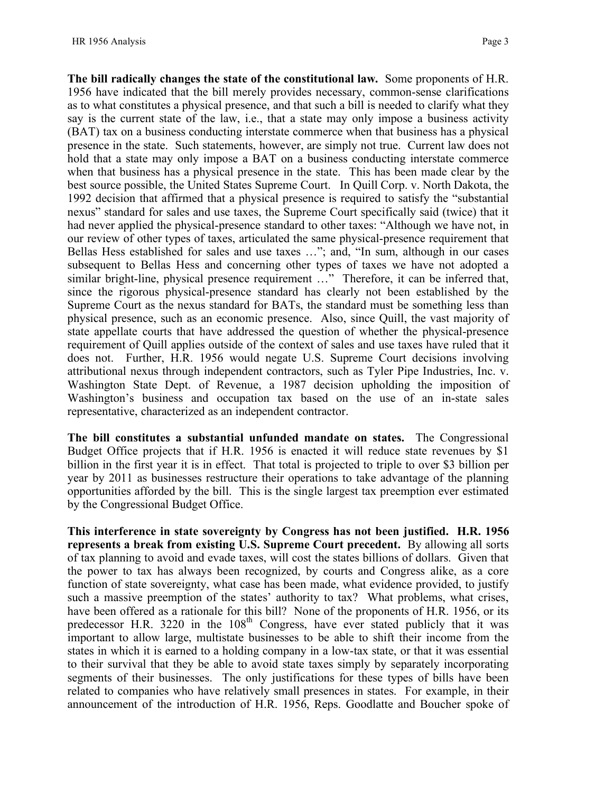**The bill radically changes the state of the constitutional law.** Some proponents of H.R. 1956 have indicated that the bill merely provides necessary, common-sense clarifications as to what constitutes a physical presence, and that such a bill is needed to clarify what they say is the current state of the law, i.e., that a state may only impose a business activity (BAT) tax on a business conducting interstate commerce when that business has a physical presence in the state. Such statements, however, are simply not true. Current law does not hold that a state may only impose a BAT on a business conducting interstate commerce when that business has a physical presence in the state. This has been made clear by the best source possible, the United States Supreme Court. In Quill Corp. v. North Dakota, the 1992 decision that affirmed that a physical presence is required to satisfy the "substantial nexus" standard for sales and use taxes, the Supreme Court specifically said (twice) that it had never applied the physical-presence standard to other taxes: "Although we have not, in our review of other types of taxes, articulated the same physical-presence requirement that Bellas Hess established for sales and use taxes …"; and, "In sum, although in our cases subsequent to Bellas Hess and concerning other types of taxes we have not adopted a similar bright-line, physical presence requirement ..." Therefore, it can be inferred that, since the rigorous physical-presence standard has clearly not been established by the Supreme Court as the nexus standard for BATs, the standard must be something less than physical presence, such as an economic presence. Also, since Quill, the vast majority of state appellate courts that have addressed the question of whether the physical-presence requirement of Quill applies outside of the context of sales and use taxes have ruled that it does not. Further, H.R. 1956 would negate U.S. Supreme Court decisions involving attributional nexus through independent contractors, such as Tyler Pipe Industries, Inc. v. Washington State Dept. of Revenue, a 1987 decision upholding the imposition of Washington's business and occupation tax based on the use of an in-state sales representative, characterized as an independent contractor.

**The bill constitutes a substantial unfunded mandate on states.** The Congressional Budget Office projects that if H.R. 1956 is enacted it will reduce state revenues by \$1 billion in the first year it is in effect. That total is projected to triple to over \$3 billion per year by 2011 as businesses restructure their operations to take advantage of the planning opportunities afforded by the bill. This is the single largest tax preemption ever estimated by the Congressional Budget Office.

**This interference in state sovereignty by Congress has not been justified. H.R. 1956 represents a break from existing U.S. Supreme Court precedent.** By allowing all sorts of tax planning to avoid and evade taxes, will cost the states billions of dollars. Given that the power to tax has always been recognized, by courts and Congress alike, as a core function of state sovereignty, what case has been made, what evidence provided, to justify such a massive preemption of the states' authority to tax? What problems, what crises, have been offered as a rationale for this bill? None of the proponents of H.R. 1956, or its predecessor H.R. 3220 in the  $108<sup>th</sup>$  Congress, have ever stated publicly that it was important to allow large, multistate businesses to be able to shift their income from the states in which it is earned to a holding company in a low-tax state, or that it was essential to their survival that they be able to avoid state taxes simply by separately incorporating segments of their businesses. The only justifications for these types of bills have been related to companies who have relatively small presences in states. For example, in their announcement of the introduction of H.R. 1956, Reps. Goodlatte and Boucher spoke of